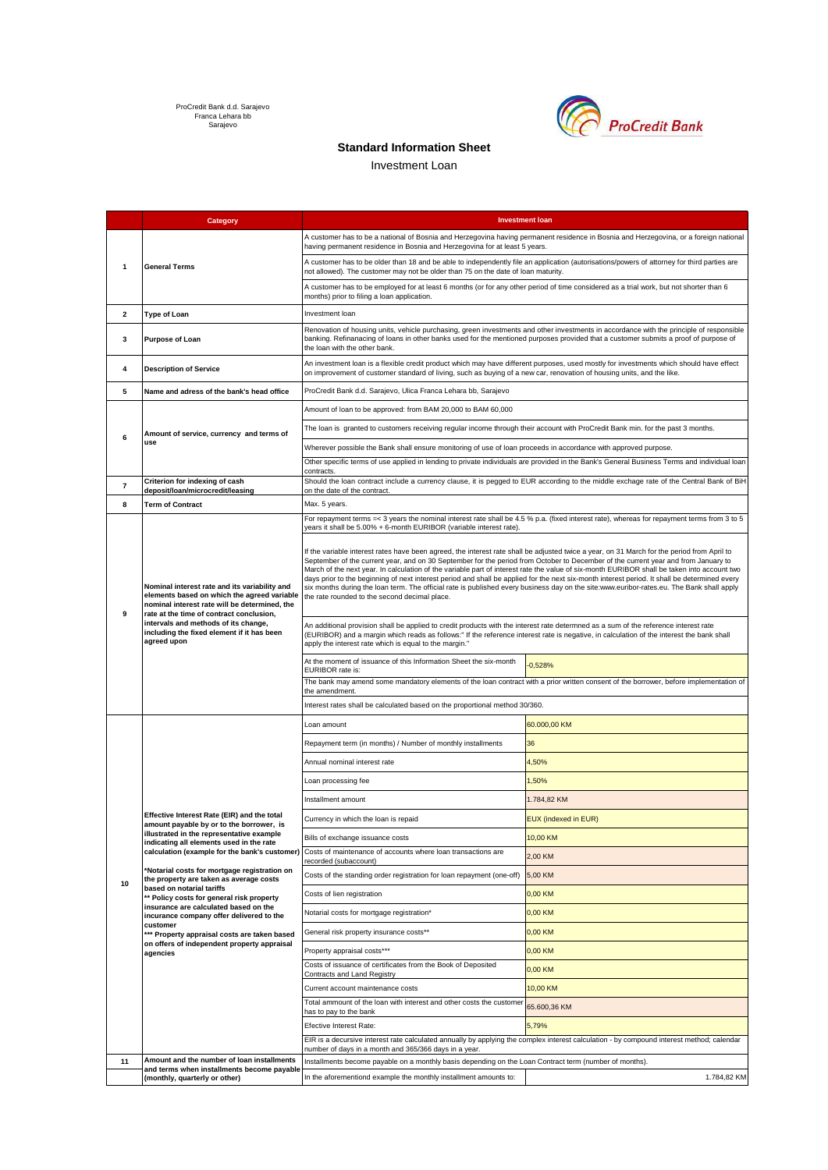

## **Standard Information Sheet**

Investment Loan

|                         | Category                                                                                                                                                                                                                                                                                                                                                                                                                                                                                                                                                                                                           | <b>Investment loan</b>                                                                                                                                                                                                                                                                                                                                                                                                                                                                                                                                                                                                                                                                                                                                                                                                                                 |                             |  |
|-------------------------|--------------------------------------------------------------------------------------------------------------------------------------------------------------------------------------------------------------------------------------------------------------------------------------------------------------------------------------------------------------------------------------------------------------------------------------------------------------------------------------------------------------------------------------------------------------------------------------------------------------------|--------------------------------------------------------------------------------------------------------------------------------------------------------------------------------------------------------------------------------------------------------------------------------------------------------------------------------------------------------------------------------------------------------------------------------------------------------------------------------------------------------------------------------------------------------------------------------------------------------------------------------------------------------------------------------------------------------------------------------------------------------------------------------------------------------------------------------------------------------|-----------------------------|--|
|                         | <b>General Terms</b>                                                                                                                                                                                                                                                                                                                                                                                                                                                                                                                                                                                               | A customer has to be a national of Bosnia and Herzegovina having permanent residence in Bosnia and Herzegovina, or a foreign national<br>having permanent residence in Bosnia and Herzegovina for at least 5 years.                                                                                                                                                                                                                                                                                                                                                                                                                                                                                                                                                                                                                                    |                             |  |
| $\mathbf{1}$            |                                                                                                                                                                                                                                                                                                                                                                                                                                                                                                                                                                                                                    | A customer has to be older than 18 and be able to independently file an application (autorisations/powers of attorney for third parties are<br>not allowed). The customer may not be older than 75 on the date of loan maturity.                                                                                                                                                                                                                                                                                                                                                                                                                                                                                                                                                                                                                       |                             |  |
|                         |                                                                                                                                                                                                                                                                                                                                                                                                                                                                                                                                                                                                                    | A customer has to be employed for at least 6 months (or for any other period of time considered as a trial work, but not shorter than 6<br>months) prior to filing a loan application.                                                                                                                                                                                                                                                                                                                                                                                                                                                                                                                                                                                                                                                                 |                             |  |
| $\overline{2}$          | Type of Loan                                                                                                                                                                                                                                                                                                                                                                                                                                                                                                                                                                                                       | Investment loan                                                                                                                                                                                                                                                                                                                                                                                                                                                                                                                                                                                                                                                                                                                                                                                                                                        |                             |  |
| 3                       | Purpose of Loan                                                                                                                                                                                                                                                                                                                                                                                                                                                                                                                                                                                                    | Renovation of housing units, vehicle purchasing, green investments and other investments in accordance with the principle of responsible<br>banking. Refinanacing of loans in other banks used for the mentioned purposes provided that a customer submits a proof of purpose of<br>the loan with the other bank.                                                                                                                                                                                                                                                                                                                                                                                                                                                                                                                                      |                             |  |
| 4                       | <b>Description of Service</b>                                                                                                                                                                                                                                                                                                                                                                                                                                                                                                                                                                                      | An investment loan is a flexible credit product which may have different purposes, used mostly for investments which should have effect<br>on improvement of customer standard of living, such as buying of a new car, renovation of housing units, and the like.                                                                                                                                                                                                                                                                                                                                                                                                                                                                                                                                                                                      |                             |  |
| 5                       | Name and adress of the bank's head office                                                                                                                                                                                                                                                                                                                                                                                                                                                                                                                                                                          | ProCredit Bank d.d. Sarajevo, Ulica Franca Lehara bb, Sarajevo                                                                                                                                                                                                                                                                                                                                                                                                                                                                                                                                                                                                                                                                                                                                                                                         |                             |  |
| 6                       | Amount of service, currency and terms of<br>use                                                                                                                                                                                                                                                                                                                                                                                                                                                                                                                                                                    | Amount of loan to be approved: from BAM 20,000 to BAM 60,000                                                                                                                                                                                                                                                                                                                                                                                                                                                                                                                                                                                                                                                                                                                                                                                           |                             |  |
|                         |                                                                                                                                                                                                                                                                                                                                                                                                                                                                                                                                                                                                                    | The loan is granted to customers receiving regular income through their account with ProCredit Bank min. for the past 3 months.                                                                                                                                                                                                                                                                                                                                                                                                                                                                                                                                                                                                                                                                                                                        |                             |  |
|                         |                                                                                                                                                                                                                                                                                                                                                                                                                                                                                                                                                                                                                    | Wherever possible the Bank shall ensure monitoring of use of loan proceeds in accordance with approved purpose.                                                                                                                                                                                                                                                                                                                                                                                                                                                                                                                                                                                                                                                                                                                                        |                             |  |
|                         |                                                                                                                                                                                                                                                                                                                                                                                                                                                                                                                                                                                                                    | Other specific terms of use applied in lending to private individuals are provided in the Bank's General Business Terms and individual loan<br>contracts.                                                                                                                                                                                                                                                                                                                                                                                                                                                                                                                                                                                                                                                                                              |                             |  |
| $\overline{\mathbf{r}}$ | Criterion for indexing of cash<br>deposit/loan/microcredit/leasing                                                                                                                                                                                                                                                                                                                                                                                                                                                                                                                                                 | Should the loan contract include a currency clause, it is pegged to EUR according to the middle exchage rate of the Central Bank of BiH                                                                                                                                                                                                                                                                                                                                                                                                                                                                                                                                                                                                                                                                                                                |                             |  |
| 8                       | <b>Term of Contract</b>                                                                                                                                                                                                                                                                                                                                                                                                                                                                                                                                                                                            | on the date of the contract.<br>Max. 5 years.                                                                                                                                                                                                                                                                                                                                                                                                                                                                                                                                                                                                                                                                                                                                                                                                          |                             |  |
|                         | For repayment terms =< 3 years the nominal interest rate shall be 4.5 % p.a. (fixed interest rate), whereas for repayment terms from 3 to 5                                                                                                                                                                                                                                                                                                                                                                                                                                                                        |                                                                                                                                                                                                                                                                                                                                                                                                                                                                                                                                                                                                                                                                                                                                                                                                                                                        |                             |  |
| 9                       | Nominal interest rate and its variability and<br>elements based on which the agreed variable<br>nominal interest rate will be determined, the<br>rate at the time of contract conclusion,<br>intervals and methods of its change,<br>including the fixed element if it has been<br>agreed upon                                                                                                                                                                                                                                                                                                                     | years it shall be 5.00% + 6-month EURIBOR (variable interest rate).<br>If the variable interest rates have been agreed, the interest rate shall be adjusted twice a year, on 31 March for the period from April to<br>September of the current year, and on 30 September for the period from October to December of the current year and from January to<br>March of the next year. In calculation of the variable part of interest rate the value of six-month EURIBOR shall be taken into account two<br>days prior to the beginning of next interest period and shall be applied for the next six-month interest period. It shall be determined every<br>six months during the loan term. The official rate is published every business day on the site:www.euribor-rates.eu. The Bank shall apply<br>the rate rounded to the second decimal place. |                             |  |
|                         |                                                                                                                                                                                                                                                                                                                                                                                                                                                                                                                                                                                                                    | An additional provision shall be applied to credit products with the interest rate determned as a sum of the reference interest rate<br>(EURIBOR) and a margin which reads as follows:" If the reference interest rate is negative, in calculation of the interest the bank shall<br>apply the interest rate which is equal to the margin."                                                                                                                                                                                                                                                                                                                                                                                                                                                                                                            |                             |  |
|                         |                                                                                                                                                                                                                                                                                                                                                                                                                                                                                                                                                                                                                    | At the moment of issuance of this Information Sheet the six-month<br>EURIBOR rate is:                                                                                                                                                                                                                                                                                                                                                                                                                                                                                                                                                                                                                                                                                                                                                                  | $-0,528%$                   |  |
|                         |                                                                                                                                                                                                                                                                                                                                                                                                                                                                                                                                                                                                                    | The bank may amend some mandatory elements of the loan contract with a prior written consent of the borrower, before implementation of<br>the amendment.                                                                                                                                                                                                                                                                                                                                                                                                                                                                                                                                                                                                                                                                                               |                             |  |
|                         |                                                                                                                                                                                                                                                                                                                                                                                                                                                                                                                                                                                                                    | Interest rates shall be calculated based on the proportional method 30/360.                                                                                                                                                                                                                                                                                                                                                                                                                                                                                                                                                                                                                                                                                                                                                                            |                             |  |
|                         | Effective Interest Rate (EIR) and the total<br>amount payable by or to the borrower, is<br>illustrated in the representative example<br>indicating all elements used in the rate<br>calculation (example for the bank's customer)<br>*Notarial costs for mortgage registration on<br>the property are taken as average costs<br>based on notarial tariffs<br>** Policy costs for general risk property<br>insurance are calculated based on the<br>incurance company offer delivered to the<br>customer<br>*** Property appraisal costs are taken based<br>on offers of independent property appraisal<br>agencies | Loan amount                                                                                                                                                                                                                                                                                                                                                                                                                                                                                                                                                                                                                                                                                                                                                                                                                                            | 60.000,00 KM                |  |
|                         |                                                                                                                                                                                                                                                                                                                                                                                                                                                                                                                                                                                                                    | Repayment term (in months) / Number of monthly installments                                                                                                                                                                                                                                                                                                                                                                                                                                                                                                                                                                                                                                                                                                                                                                                            | 36                          |  |
|                         |                                                                                                                                                                                                                                                                                                                                                                                                                                                                                                                                                                                                                    | Annual nominal interest rate                                                                                                                                                                                                                                                                                                                                                                                                                                                                                                                                                                                                                                                                                                                                                                                                                           | 4,50%                       |  |
|                         |                                                                                                                                                                                                                                                                                                                                                                                                                                                                                                                                                                                                                    | Loan processing fee                                                                                                                                                                                                                                                                                                                                                                                                                                                                                                                                                                                                                                                                                                                                                                                                                                    | 1,50%                       |  |
|                         |                                                                                                                                                                                                                                                                                                                                                                                                                                                                                                                                                                                                                    | Installment amount                                                                                                                                                                                                                                                                                                                                                                                                                                                                                                                                                                                                                                                                                                                                                                                                                                     | 1.784,82 KM                 |  |
|                         |                                                                                                                                                                                                                                                                                                                                                                                                                                                                                                                                                                                                                    | Currency in which the loan is repaid                                                                                                                                                                                                                                                                                                                                                                                                                                                                                                                                                                                                                                                                                                                                                                                                                   | <b>EUX</b> (indexed in EUR) |  |
|                         |                                                                                                                                                                                                                                                                                                                                                                                                                                                                                                                                                                                                                    | Bills of exchange issuance costs                                                                                                                                                                                                                                                                                                                                                                                                                                                                                                                                                                                                                                                                                                                                                                                                                       | 10,00 KM                    |  |
| 10                      |                                                                                                                                                                                                                                                                                                                                                                                                                                                                                                                                                                                                                    | Costs of maintenance of accounts where loan transactions are                                                                                                                                                                                                                                                                                                                                                                                                                                                                                                                                                                                                                                                                                                                                                                                           | 2,00 KM                     |  |
|                         |                                                                                                                                                                                                                                                                                                                                                                                                                                                                                                                                                                                                                    | recorded (subaccount)<br>Costs of the standing order registration for loan repayment (one-off)                                                                                                                                                                                                                                                                                                                                                                                                                                                                                                                                                                                                                                                                                                                                                         | 5,00 KM                     |  |
|                         |                                                                                                                                                                                                                                                                                                                                                                                                                                                                                                                                                                                                                    | Costs of lien registration                                                                                                                                                                                                                                                                                                                                                                                                                                                                                                                                                                                                                                                                                                                                                                                                                             | 0,00 KM                     |  |
|                         |                                                                                                                                                                                                                                                                                                                                                                                                                                                                                                                                                                                                                    | Notarial costs for mortgage registration*                                                                                                                                                                                                                                                                                                                                                                                                                                                                                                                                                                                                                                                                                                                                                                                                              | 0,00 KM                     |  |
|                         |                                                                                                                                                                                                                                                                                                                                                                                                                                                                                                                                                                                                                    | General risk property insurance costs**                                                                                                                                                                                                                                                                                                                                                                                                                                                                                                                                                                                                                                                                                                                                                                                                                | 0,00 KM                     |  |
|                         |                                                                                                                                                                                                                                                                                                                                                                                                                                                                                                                                                                                                                    | Property appraisal costs***                                                                                                                                                                                                                                                                                                                                                                                                                                                                                                                                                                                                                                                                                                                                                                                                                            | 0,00 KM                     |  |
|                         |                                                                                                                                                                                                                                                                                                                                                                                                                                                                                                                                                                                                                    | Costs of issuance of certificates from the Book of Deposited                                                                                                                                                                                                                                                                                                                                                                                                                                                                                                                                                                                                                                                                                                                                                                                           | 0,00 KM                     |  |
|                         |                                                                                                                                                                                                                                                                                                                                                                                                                                                                                                                                                                                                                    | Contracts and Land Registry<br>Current account maintenance costs                                                                                                                                                                                                                                                                                                                                                                                                                                                                                                                                                                                                                                                                                                                                                                                       | 10,00 KM                    |  |
|                         |                                                                                                                                                                                                                                                                                                                                                                                                                                                                                                                                                                                                                    | Total ammount of the loan with interest and other costs the customer                                                                                                                                                                                                                                                                                                                                                                                                                                                                                                                                                                                                                                                                                                                                                                                   |                             |  |
|                         |                                                                                                                                                                                                                                                                                                                                                                                                                                                                                                                                                                                                                    | has to pay to the bank                                                                                                                                                                                                                                                                                                                                                                                                                                                                                                                                                                                                                                                                                                                                                                                                                                 | 65.600,36 KM                |  |
|                         |                                                                                                                                                                                                                                                                                                                                                                                                                                                                                                                                                                                                                    | Efective Interest Rate:                                                                                                                                                                                                                                                                                                                                                                                                                                                                                                                                                                                                                                                                                                                                                                                                                                | 5,79%                       |  |
|                         |                                                                                                                                                                                                                                                                                                                                                                                                                                                                                                                                                                                                                    | EIR is a decursive interest rate calculated annually by applying the complex interest calculation - by compound interest method; calendar<br>number of days in a month and 365/366 days in a year.                                                                                                                                                                                                                                                                                                                                                                                                                                                                                                                                                                                                                                                     |                             |  |
| 11                      | Amount and the number of loan installments<br>and terms when installments become payable                                                                                                                                                                                                                                                                                                                                                                                                                                                                                                                           | Installments become payable on a monthly basis depending on the Loan Contract term (number of months).                                                                                                                                                                                                                                                                                                                                                                                                                                                                                                                                                                                                                                                                                                                                                 |                             |  |
|                         | (monthly, quarterly or other)                                                                                                                                                                                                                                                                                                                                                                                                                                                                                                                                                                                      | In the aforementiond example the monthly installment amounts to:                                                                                                                                                                                                                                                                                                                                                                                                                                                                                                                                                                                                                                                                                                                                                                                       | 1.784,82 KM                 |  |